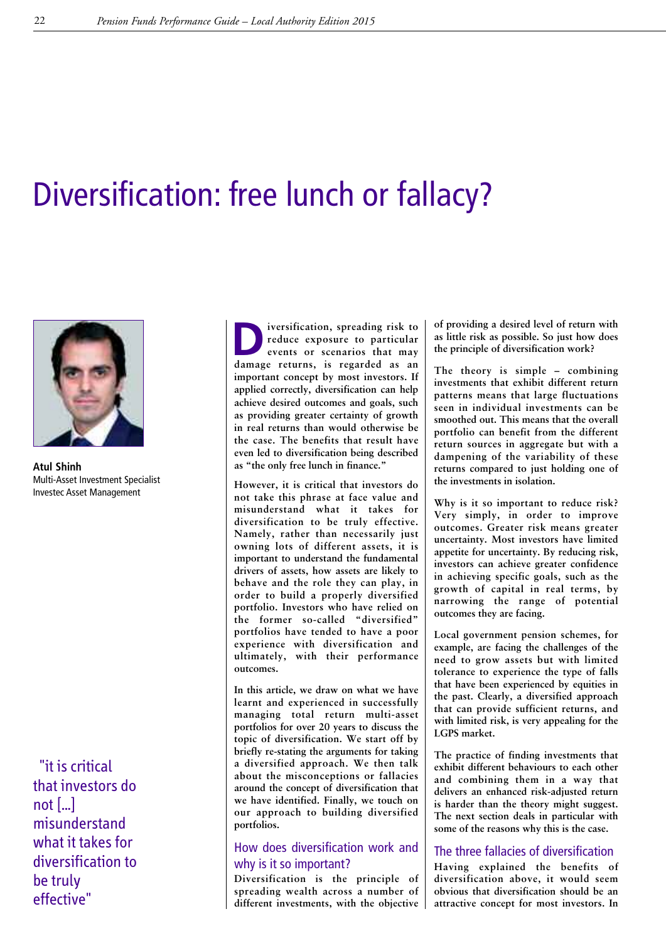# Diversification: free lunch or fallacy?



**Atul Shinh** Multi-Asset Investment Specialist Investec Asset Management

"it is critical that investors do not  $\left[\ldots\right]$ misunderstand what it takes for diversification to be truly effective"

**D**<br>**i**versification, spreading risk to<br>events or scenarios that may<br>damage returns is regarded as an **reduce exposure to particular events or scenarios that may damage returns, is regarded as an important concept by most investors. If applied correctly, diversification can help achieve desired outcomes and goals, such as providing greater certainty of growth in real returns than would otherwise be the case. The benefits that result have even led to diversification being described as "the only free lunch in finance."**

**However, it is critical that investors do not take this phrase at face value and misunderstand what it takes for diversification to be truly effective. Namely, rather than necessarily just owning lots of different assets, it is important to understand the fundamental drivers of assets, how assets are likely to behave and the role they can play, in order to build a properly diversified portfolio. Investors who have relied on the former so-called "diversified" portfolios have tended to have a poor experience with diversification and ultimately, with their performance outcomes.**

**In this article, we draw on what we have learnt and experienced in successfully managing total return multi-asset portfolios for over 20 years to discuss the topic of diversification. We start off by briefly re-stating the arguments for taking a diversified approach. We then talk about the misconceptions or fallacies around the concept of diversification that we have identified. Finally, we touch on our approach to building diversified portfolios.**

# How does diversification work and why is it so important?

**Diversification is the principle of spreading wealth across a number of different investments, with the objective** **of providing a desired level of return with as little risk as possible. So just how does the principle of diversification work?**

**The theory is simple – combining investments that exhibit different return patterns means that large fluctuations seen in individual investments can be smoothed out. This means that the overall portfolio can benefit from the different return sources in aggregate but with a dampening of the variability of these returns compared to just holding one of the investments in isolation.**

**Why is it so important to reduce risk? Very simply, in order to improve outcomes. Greater risk means greater uncertainty. Most investors have limited appetite for uncertainty. By reducing risk, investors can achieve greater confidence in achieving specific goals, such as the growth of capital in real terms, by narrowing the range of potential outcomes they are facing.**

**Local government pension schemes, for example, are facing the challenges of the need to grow assets but with limited tolerance to experience the type of falls that have been experienced by equities in the past. Clearly, a diversified approach that can provide sufficient returns, and with limited risk, is very appealing for the LGPS market.**

**The practice of finding investments that exhibit different behaviours to each other and combining them in a way that delivers an enhanced risk-adjusted return is harder than the theory might suggest. The next section deals in particular with some of the reasons why this is the case.**

# The three fallacies of diversification

**Having explained the benefits of diversification above, it would seem obvious that diversification should be an attractive concept for most investors. In**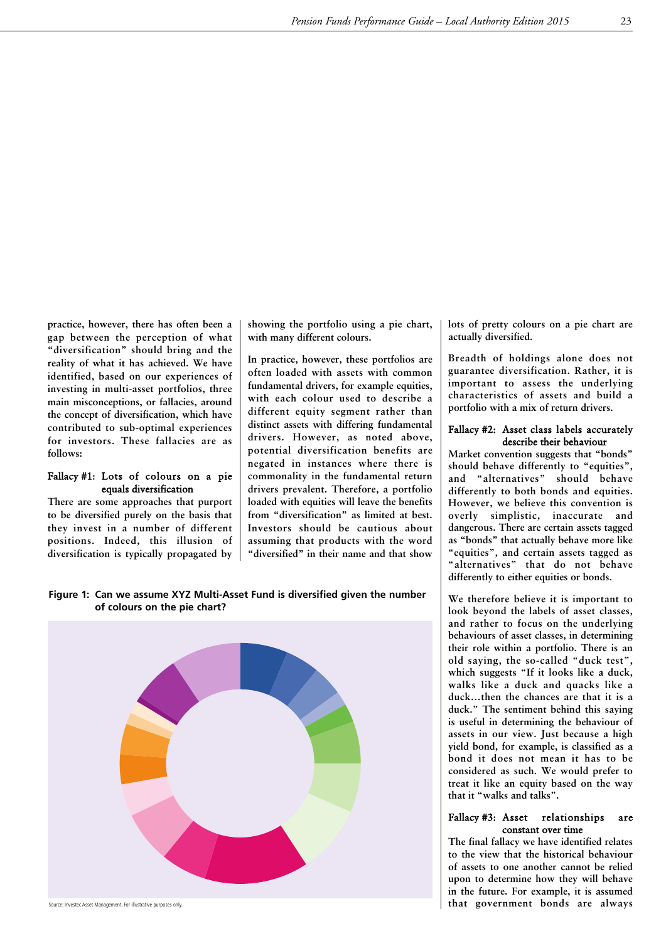**practice, however, there has often been a gap between the perception of what "diversification" should bring and the reality of what it has achieved. We have identified, based on our experiences of investing in multi-asset portfolios, three main misconceptions, or fallacies, around the concept of diversification, which have contributed to sub-optimal experiences for investors. These fallacies are as follows:**

#### Fallacy #1: Lots of colours on a pie equals diversification

**There are some approaches that purport to be diversified purely on the basis that they invest in a number of different positions. Indeed, this illusion of diversification is typically propagated by** **showing the portfolio using a pie chart, with many different colours.**

**In practice, however, these portfolios are often loaded with assets with common fundamental drivers, for example equities, with each colour used to describe a different equity segment rather than distinct assets with differing fundamental drivers. However, as noted above, potential diversification benefits are negated in instances where there is commonality in the fundamental return drivers prevalent. Therefore, a portfolio loaded with equities will leave the benefits from "diversification" as limited at best. Investors should be cautious about assuming that products with the word "diversified" in their name and that show**

**Figure 1: Can we assume XYZ Multi-Asset Fund is diversified given the number of colours on the pie chart?**



Source: Investec Asset Management. For illustrative purposes only.

**lots of pretty colours on a pie chart are actually diversified.**

**Breadth of holdings alone does not guarantee diversification. Rather, it is important to assess the underlying characteristics of assets and build a portfolio with a mix of return drivers.**

#### Fallacy #2: Asset class labels accurately describe their behaviour

**Market convention suggests that "bonds" should behave differently to "equities", and "alternatives" should behave differently to both bonds and equities. However, we believe this convention is overly simplistic, inaccurate and dangerous. There are certain assets tagged as "bonds" that actually behave more like "equities", and certain assets tagged as "alternatives" that do not behave differently to either equities or bonds.**

**We therefore believe it is important to look beyond the labels of asset classes, and rather to focus on the underlying behaviours of asset classes, in determining their role within a portfolio. There is an old saying, the so-called "duck test", which suggests "If it looks like a duck, walks like a duck and quacks like a duck…then the chances are that it is a duck." The sentiment behind this saying is useful in determining the behaviour of assets in our view. Just because a high yield bond, for example, is classified as a bond it does not mean it has to be considered as such. We would prefer to treat it like an equity based on the way that it "walks and talks".**

#### Fallacy #3: Asset relationships are constant over time

**The final fallacy we have identified relates to the view that the historical behaviour of assets to one another cannot be relied upon to determine how they will behave in the future. For example, it is assumed that government bonds are always**